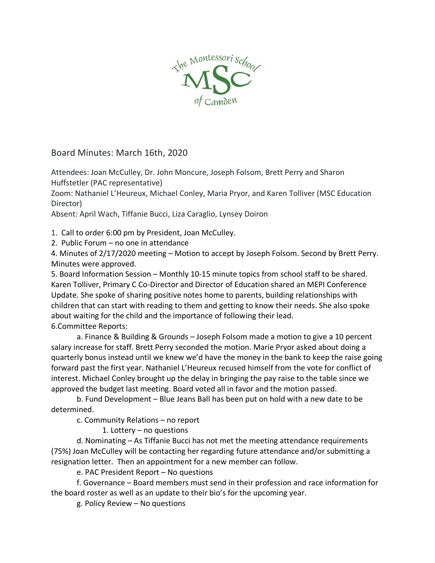

Board Minutes: March 16th, 2020

Attendees: Joan McCulley, Dr. John Moncure, Joseph Folsom, Brett Perry and Sharon Huffstetler (PAC representative)

Zoom: Nathaniel L'Heureux, Michael Conley, Maria Pryor, and Karen Tolliver (MSC Education Director)

Absent: April Wach, Tiffanie Bucci, Liza Caraglio, Lynsey Doiron

1. Call to order 6:00 pm by President, Joan McCulley.

2. Public Forum – no one in attendance

4. Minutes of 2/17/2020 meeting – Motion to accept by Joseph Folsom. Second by Brett Perry. Minutes were approved.

5. Board Information Session – Monthly 10-15 minute topics from school staff to be shared. Karen Tolliver, Primary C Co-Director and Director of Education shared an MEPI Conference Update. She spoke of sharing positive notes home to parents, building relationships with children that can start with reading to them and getting to know their needs. She also spoke about waiting for the child and the importance of following their lead. 6.Committee Reports:

a. Finance & Building & Grounds – Joseph Folsom made a motion to give a 10 percent salary increase for staff. Brett Perry seconded the motion. Marie Pryor asked about doing a quarterly bonus instead until we knew we'd have the money in the bank to keep the raise going forward past the first year. Nathaniel L'Heureux recused himself from the vote for conflict of interest. Michael Conley brought up the delay in bringing the pay raise to the table since we approved the budget last meeting. Board voted all in favor and the motion passed.

b. Fund Development – Blue Jeans Ball has been put on hold with a new date to be determined.

c. Community Relations – no report

1. Lottery – no questions

d. Nominating – As Tiffanie Bucci has not met the meeting attendance requirements (75%) Joan McCulley will be contacting her regarding future attendance and/or submitting a resignation letter. Then an appointment for a new member can follow.

e. PAC President Report – No questions

f. Governance – Board members must send in their profession and race information for the board roster as well as an update to their bio's for the upcoming year.

g. Policy Review – No questions